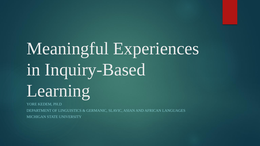# Meaningful Experiences in Inquiry-Based Learning

YORE KEDEM, PH.D

DEPARTMENT OF LINGUISTICS & GERMANIC, SLAVIC, ASIAN AND AFRICAN LANGUAGES MICHIGAN STATE UNIVERSITY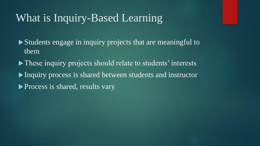## What is Inquiry-Based Learning

Students engage in inquiry projects that are meaningful to them

• These inquiry projects should relate to students' interests

Inquiry process is shared between students and instructor

**Process is shared, results vary**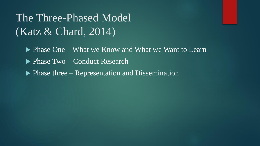The Three-Phased Model (Katz & Chard, 2014)

- Phase One What we Know and What we Want to Learn
- **Phase Two Conduct Research**
- ▶ Phase three Representation and Dissemination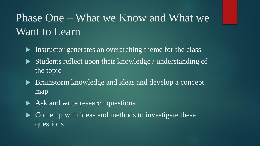# Phase One – What we Know and What we Want to Learn

- Instructor generates an overarching theme for the class
- Students reflect upon their knowledge / understanding of the topic
- **Brainstorm knowledge and ideas and develop a concept** map
- Ask and write research questions
- Come up with ideas and methods to investigate these questions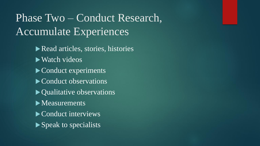# Phase Two – Conduct Research, Accumulate Experiences

Read articles, stories, histories ▶ Watch videos Conduct experiments Conduct observations • Qualitative observations Measurements Conduct interviews Speak to specialists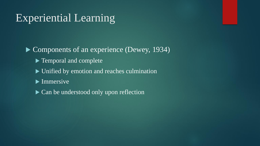## Experiential Learning

▶ Components of an experience (Dewey, 1934) ▶ Temporal and complete  $\triangleright$  Unified by emotion and reaches culmination  $\blacktriangleright$  Immersive ▶ Can be understood only upon reflection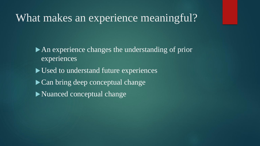#### What makes an experience meaningful?

An experience changes the understanding of prior experiences

- Used to understand future experiences
- Can bring deep conceptual change
- Nuanced conceptual change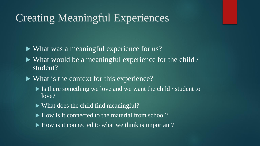#### Creating Meaningful Experiences

What was a meaningful experience for us?

- What would be a meaningful experience for the child / student?
- What is the context for this experience?
	- $\blacktriangleright$  Is there something we love and we want the child / student to love?
	- What does the child find meaningful?
	- ► How is it connected to the material from school?
	- ► How is it connected to what we think is important?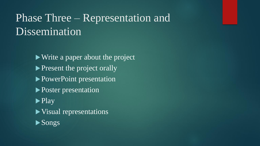## Phase Three – Representation and Dissemination

Write a paper about the project resent the project orally ▶ PowerPoint presentation **Poster presentation**  $\blacktriangleright$  Play Visual representations Songs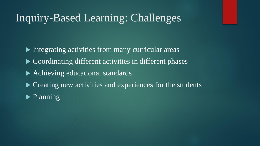#### Inquiry-Based Learning: Challenges

Integrating activities from many curricular areas ▶ Coordinating different activities in different phases ▶ Achieving educational standards ▶ Creating new activities and experiences for the students  $\blacktriangleright$  Planning